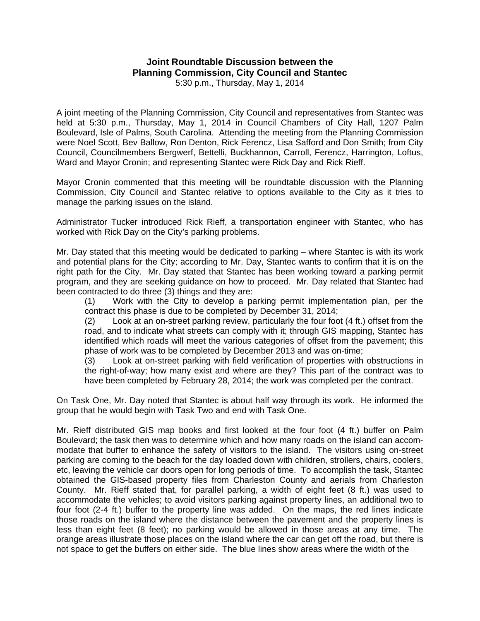## **Joint Roundtable Discussion between the Planning Commission, City Council and Stantec**

5:30 p.m., Thursday, May 1, 2014

A joint meeting of the Planning Commission, City Council and representatives from Stantec was held at 5:30 p.m., Thursday, May 1, 2014 in Council Chambers of City Hall, 1207 Palm Boulevard, Isle of Palms, South Carolina. Attending the meeting from the Planning Commission were Noel Scott, Bev Ballow, Ron Denton, Rick Ferencz, Lisa Safford and Don Smith; from City Council, Councilmembers Bergwerf, Bettelli, Buckhannon, Carroll, Ferencz, Harrington, Loftus, Ward and Mayor Cronin; and representing Stantec were Rick Day and Rick Rieff.

Mayor Cronin commented that this meeting will be roundtable discussion with the Planning Commission, City Council and Stantec relative to options available to the City as it tries to manage the parking issues on the island.

Administrator Tucker introduced Rick Rieff, a transportation engineer with Stantec, who has worked with Rick Day on the City's parking problems.

Mr. Day stated that this meeting would be dedicated to parking – where Stantec is with its work and potential plans for the City; according to Mr. Day, Stantec wants to confirm that it is on the right path for the City. Mr. Day stated that Stantec has been working toward a parking permit program, and they are seeking guidance on how to proceed. Mr. Day related that Stantec had been contracted to do three (3) things and they are:

 (1) Work with the City to develop a parking permit implementation plan, per the contract this phase is due to be completed by December 31, 2014;

 (2) Look at an on-street parking review, particularly the four foot (4 ft.) offset from the road, and to indicate what streets can comply with it; through GIS mapping, Stantec has identified which roads will meet the various categories of offset from the pavement; this phase of work was to be completed by December 2013 and was on-time;

 (3) Look at on-street parking with field verification of properties with obstructions in the right-of-way; how many exist and where are they? This part of the contract was to have been completed by February 28, 2014; the work was completed per the contract.

On Task One, Mr. Day noted that Stantec is about half way through its work. He informed the group that he would begin with Task Two and end with Task One.

Mr. Rieff distributed GIS map books and first looked at the four foot (4 ft.) buffer on Palm Boulevard; the task then was to determine which and how many roads on the island can accommodate that buffer to enhance the safety of visitors to the island. The visitors using on-street parking are coming to the beach for the day loaded down with children, strollers, chairs, coolers, etc, leaving the vehicle car doors open for long periods of time. To accomplish the task, Stantec obtained the GIS-based property files from Charleston County and aerials from Charleston County. Mr. Rieff stated that, for parallel parking, a width of eight feet (8 ft.) was used to accommodate the vehicles; to avoid visitors parking against property lines, an additional two to four foot (2-4 ft.) buffer to the property line was added. On the maps, the red lines indicate those roads on the island where the distance between the pavement and the property lines is less than eight feet (8 feet); no parking would be allowed in those areas at any time. The orange areas illustrate those places on the island where the car can get off the road, but there is not space to get the buffers on either side. The blue lines show areas where the width of the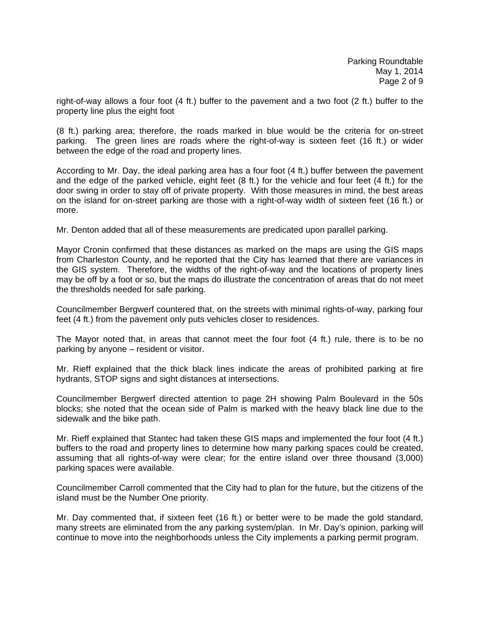right-of-way allows a four foot (4 ft.) buffer to the pavement and a two foot (2 ft.) buffer to the property line plus the eight foot

(8 ft.) parking area; therefore, the roads marked in blue would be the criteria for on-street parking. The green lines are roads where the right-of-way is sixteen feet (16 ft.) or wider between the edge of the road and property lines.

According to Mr. Day, the ideal parking area has a four foot (4 ft.) buffer between the pavement and the edge of the parked vehicle, eight feet (8 ft.) for the vehicle and four feet (4 ft.) for the door swing in order to stay off of private property. With those measures in mind, the best areas on the island for on-street parking are those with a right-of-way width of sixteen feet (16 ft.) or more.

Mr. Denton added that all of these measurements are predicated upon parallel parking.

Mayor Cronin confirmed that these distances as marked on the maps are using the GIS maps from Charleston County, and he reported that the City has learned that there are variances in the GIS system. Therefore, the widths of the right-of-way and the locations of property lines may be off by a foot or so, but the maps do illustrate the concentration of areas that do not meet the thresholds needed for safe parking.

Councilmember Bergwerf countered that, on the streets with minimal rights-of-way, parking four feet (4 ft.) from the pavement only puts vehicles closer to residences.

The Mayor noted that, in areas that cannot meet the four foot (4 ft.) rule, there is to be no parking by anyone – resident or visitor.

Mr. Rieff explained that the thick black lines indicate the areas of prohibited parking at fire hydrants, STOP signs and sight distances at intersections.

Councilmember Bergwerf directed attention to page 2H showing Palm Boulevard in the 50s blocks; she noted that the ocean side of Palm is marked with the heavy black line due to the sidewalk and the bike path.

Mr. Rieff explained that Stantec had taken these GIS maps and implemented the four foot (4 ft.) buffers to the road and property lines to determine how many parking spaces could be created, assuming that all rights-of-way were clear; for the entire island over three thousand (3,000) parking spaces were available.

Councilmember Carroll commented that the City had to plan for the future, but the citizens of the island must be the Number One priority.

Mr. Day commented that, if sixteen feet (16 ft.) or better were to be made the gold standard, many streets are eliminated from the any parking system/plan. In Mr. Day's opinion, parking will continue to move into the neighborhoods unless the City implements a parking permit program.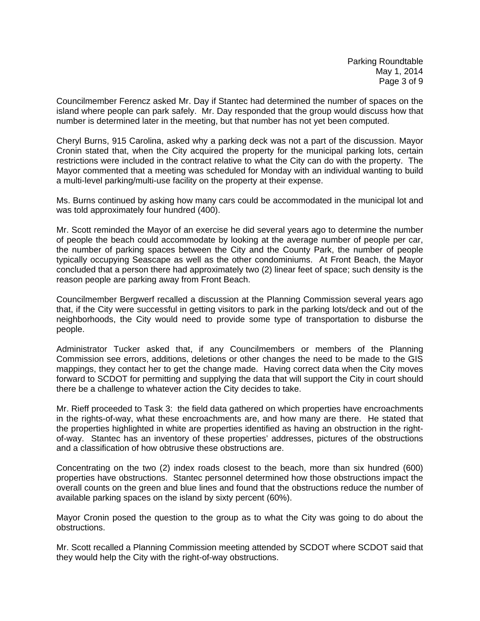Parking Roundtable May 1, 2014 Page 3 of 9

Councilmember Ferencz asked Mr. Day if Stantec had determined the number of spaces on the island where people can park safely. Mr. Day responded that the group would discuss how that number is determined later in the meeting, but that number has not yet been computed.

Cheryl Burns, 915 Carolina, asked why a parking deck was not a part of the discussion. Mayor Cronin stated that, when the City acquired the property for the municipal parking lots, certain restrictions were included in the contract relative to what the City can do with the property. The Mayor commented that a meeting was scheduled for Monday with an individual wanting to build a multi-level parking/multi-use facility on the property at their expense.

Ms. Burns continued by asking how many cars could be accommodated in the municipal lot and was told approximately four hundred (400).

Mr. Scott reminded the Mayor of an exercise he did several years ago to determine the number of people the beach could accommodate by looking at the average number of people per car, the number of parking spaces between the City and the County Park, the number of people typically occupying Seascape as well as the other condominiums. At Front Beach, the Mayor concluded that a person there had approximately two (2) linear feet of space; such density is the reason people are parking away from Front Beach.

Councilmember Bergwerf recalled a discussion at the Planning Commission several years ago that, if the City were successful in getting visitors to park in the parking lots/deck and out of the neighborhoods, the City would need to provide some type of transportation to disburse the people.

Administrator Tucker asked that, if any Councilmembers or members of the Planning Commission see errors, additions, deletions or other changes the need to be made to the GIS mappings, they contact her to get the change made. Having correct data when the City moves forward to SCDOT for permitting and supplying the data that will support the City in court should there be a challenge to whatever action the City decides to take.

Mr. Rieff proceeded to Task 3: the field data gathered on which properties have encroachments in the rights-of-way, what these encroachments are, and how many are there. He stated that the properties highlighted in white are properties identified as having an obstruction in the rightof-way. Stantec has an inventory of these properties' addresses, pictures of the obstructions and a classification of how obtrusive these obstructions are.

Concentrating on the two (2) index roads closest to the beach, more than six hundred (600) properties have obstructions. Stantec personnel determined how those obstructions impact the overall counts on the green and blue lines and found that the obstructions reduce the number of available parking spaces on the island by sixty percent (60%).

Mayor Cronin posed the question to the group as to what the City was going to do about the obstructions.

Mr. Scott recalled a Planning Commission meeting attended by SCDOT where SCDOT said that they would help the City with the right-of-way obstructions.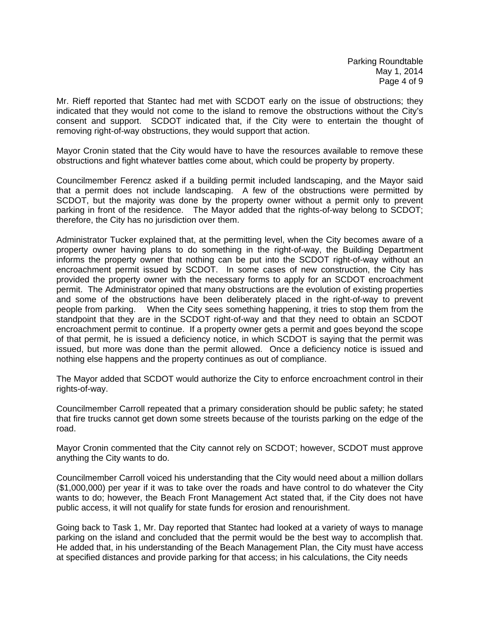Mr. Rieff reported that Stantec had met with SCDOT early on the issue of obstructions; they indicated that they would not come to the island to remove the obstructions without the City's consent and support. SCDOT indicated that, if the City were to entertain the thought of removing right-of-way obstructions, they would support that action.

Mayor Cronin stated that the City would have to have the resources available to remove these obstructions and fight whatever battles come about, which could be property by property.

Councilmember Ferencz asked if a building permit included landscaping, and the Mayor said that a permit does not include landscaping. A few of the obstructions were permitted by SCDOT, but the majority was done by the property owner without a permit only to prevent parking in front of the residence. The Mayor added that the rights-of-way belong to SCDOT; therefore, the City has no jurisdiction over them.

Administrator Tucker explained that, at the permitting level, when the City becomes aware of a property owner having plans to do something in the right-of-way, the Building Department informs the property owner that nothing can be put into the SCDOT right-of-way without an encroachment permit issued by SCDOT. In some cases of new construction, the City has provided the property owner with the necessary forms to apply for an SCDOT encroachment permit. The Administrator opined that many obstructions are the evolution of existing properties and some of the obstructions have been deliberately placed in the right-of-way to prevent people from parking. When the City sees something happening, it tries to stop them from the standpoint that they are in the SCDOT right-of-way and that they need to obtain an SCDOT encroachment permit to continue. If a property owner gets a permit and goes beyond the scope of that permit, he is issued a deficiency notice, in which SCDOT is saying that the permit was issued, but more was done than the permit allowed. Once a deficiency notice is issued and nothing else happens and the property continues as out of compliance.

The Mayor added that SCDOT would authorize the City to enforce encroachment control in their rights-of-way.

Councilmember Carroll repeated that a primary consideration should be public safety; he stated that fire trucks cannot get down some streets because of the tourists parking on the edge of the road.

Mayor Cronin commented that the City cannot rely on SCDOT; however, SCDOT must approve anything the City wants to do.

Councilmember Carroll voiced his understanding that the City would need about a million dollars (\$1,000,000) per year if it was to take over the roads and have control to do whatever the City wants to do; however, the Beach Front Management Act stated that, if the City does not have public access, it will not qualify for state funds for erosion and renourishment.

Going back to Task 1, Mr. Day reported that Stantec had looked at a variety of ways to manage parking on the island and concluded that the permit would be the best way to accomplish that. He added that, in his understanding of the Beach Management Plan, the City must have access at specified distances and provide parking for that access; in his calculations, the City needs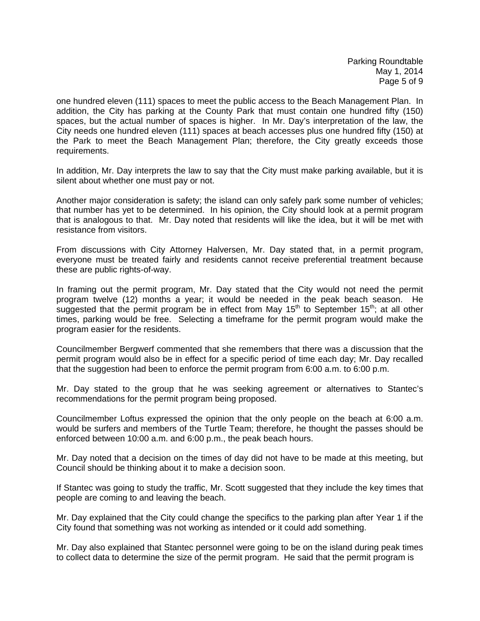Parking Roundtable May 1, 2014 Page 5 of 9

one hundred eleven (111) spaces to meet the public access to the Beach Management Plan. In addition, the City has parking at the County Park that must contain one hundred fifty (150) spaces, but the actual number of spaces is higher. In Mr. Day's interpretation of the law, the City needs one hundred eleven (111) spaces at beach accesses plus one hundred fifty (150) at the Park to meet the Beach Management Plan; therefore, the City greatly exceeds those requirements.

In addition, Mr. Day interprets the law to say that the City must make parking available, but it is silent about whether one must pay or not.

Another major consideration is safety; the island can only safely park some number of vehicles; that number has yet to be determined. In his opinion, the City should look at a permit program that is analogous to that. Mr. Day noted that residents will like the idea, but it will be met with resistance from visitors.

From discussions with City Attorney Halversen, Mr. Day stated that, in a permit program, everyone must be treated fairly and residents cannot receive preferential treatment because these are public rights-of-way.

In framing out the permit program, Mr. Day stated that the City would not need the permit program twelve (12) months a year; it would be needed in the peak beach season. He suggested that the permit program be in effect from May  $15<sup>th</sup>$  to September  $15<sup>th</sup>$ ; at all other times, parking would be free. Selecting a timeframe for the permit program would make the program easier for the residents.

Councilmember Bergwerf commented that she remembers that there was a discussion that the permit program would also be in effect for a specific period of time each day; Mr. Day recalled that the suggestion had been to enforce the permit program from 6:00 a.m. to 6:00 p.m.

Mr. Day stated to the group that he was seeking agreement or alternatives to Stantec's recommendations for the permit program being proposed.

Councilmember Loftus expressed the opinion that the only people on the beach at 6:00 a.m. would be surfers and members of the Turtle Team; therefore, he thought the passes should be enforced between 10:00 a.m. and 6:00 p.m., the peak beach hours.

Mr. Day noted that a decision on the times of day did not have to be made at this meeting, but Council should be thinking about it to make a decision soon.

If Stantec was going to study the traffic, Mr. Scott suggested that they include the key times that people are coming to and leaving the beach.

Mr. Day explained that the City could change the specifics to the parking plan after Year 1 if the City found that something was not working as intended or it could add something.

Mr. Day also explained that Stantec personnel were going to be on the island during peak times to collect data to determine the size of the permit program. He said that the permit program is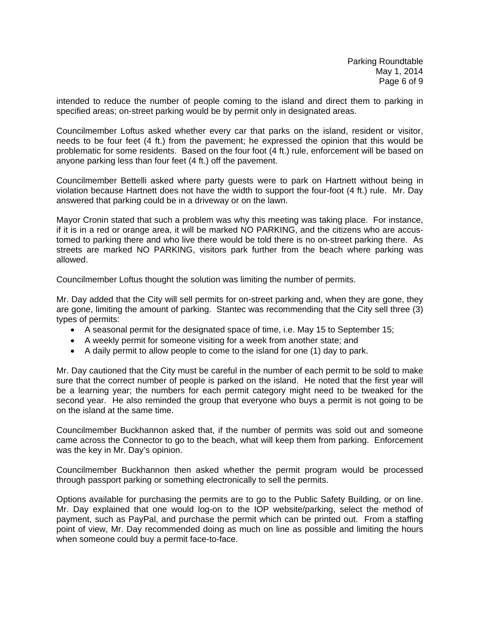intended to reduce the number of people coming to the island and direct them to parking in specified areas; on-street parking would be by permit only in designated areas.

Councilmember Loftus asked whether every car that parks on the island, resident or visitor, needs to be four feet (4 ft.) from the pavement; he expressed the opinion that this would be problematic for some residents. Based on the four foot (4 ft.) rule, enforcement will be based on anyone parking less than four feet (4 ft.) off the pavement.

Councilmember Bettelli asked where party guests were to park on Hartnett without being in violation because Hartnett does not have the width to support the four-foot (4 ft.) rule. Mr. Day answered that parking could be in a driveway or on the lawn.

Mayor Cronin stated that such a problem was why this meeting was taking place. For instance, if it is in a red or orange area, it will be marked NO PARKING, and the citizens who are accustomed to parking there and who live there would be told there is no on-street parking there. As streets are marked NO PARKING, visitors park further from the beach where parking was allowed.

Councilmember Loftus thought the solution was limiting the number of permits.

Mr. Day added that the City will sell permits for on-street parking and, when they are gone, they are gone, limiting the amount of parking. Stantec was recommending that the City sell three (3) types of permits:

- A seasonal permit for the designated space of time, i.e. May 15 to September 15;
- A weekly permit for someone visiting for a week from another state; and
- A daily permit to allow people to come to the island for one (1) day to park.

Mr. Day cautioned that the City must be careful in the number of each permit to be sold to make sure that the correct number of people is parked on the island. He noted that the first year will be a learning year; the numbers for each permit category might need to be tweaked for the second year. He also reminded the group that everyone who buys a permit is not going to be on the island at the same time.

Councilmember Buckhannon asked that, if the number of permits was sold out and someone came across the Connector to go to the beach, what will keep them from parking. Enforcement was the key in Mr. Day's opinion.

Councilmember Buckhannon then asked whether the permit program would be processed through passport parking or something electronically to sell the permits.

Options available for purchasing the permits are to go to the Public Safety Building, or on line. Mr. Day explained that one would log-on to the IOP website/parking, select the method of payment, such as PayPal, and purchase the permit which can be printed out. From a staffing point of view, Mr. Day recommended doing as much on line as possible and limiting the hours when someone could buy a permit face-to-face.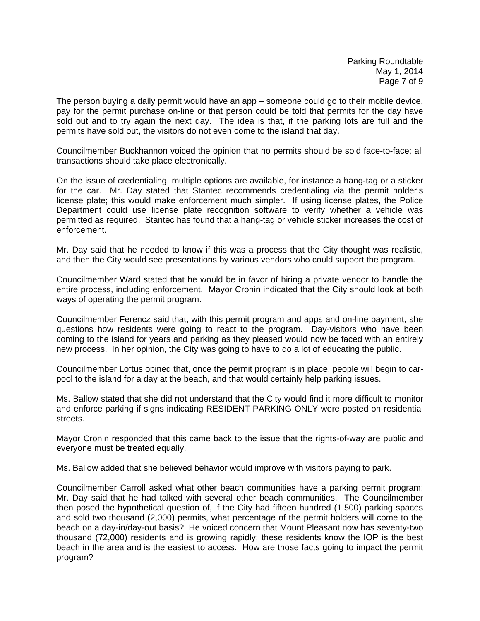The person buying a daily permit would have an app – someone could go to their mobile device, pay for the permit purchase on-line or that person could be told that permits for the day have sold out and to try again the next day. The idea is that, if the parking lots are full and the permits have sold out, the visitors do not even come to the island that day.

Councilmember Buckhannon voiced the opinion that no permits should be sold face-to-face; all transactions should take place electronically.

On the issue of credentialing, multiple options are available, for instance a hang-tag or a sticker for the car. Mr. Day stated that Stantec recommends credentialing via the permit holder's license plate; this would make enforcement much simpler. If using license plates, the Police Department could use license plate recognition software to verify whether a vehicle was permitted as required. Stantec has found that a hang-tag or vehicle sticker increases the cost of enforcement.

Mr. Day said that he needed to know if this was a process that the City thought was realistic, and then the City would see presentations by various vendors who could support the program.

Councilmember Ward stated that he would be in favor of hiring a private vendor to handle the entire process, including enforcement. Mayor Cronin indicated that the City should look at both ways of operating the permit program.

Councilmember Ferencz said that, with this permit program and apps and on-line payment, she questions how residents were going to react to the program. Day-visitors who have been coming to the island for years and parking as they pleased would now be faced with an entirely new process. In her opinion, the City was going to have to do a lot of educating the public.

Councilmember Loftus opined that, once the permit program is in place, people will begin to carpool to the island for a day at the beach, and that would certainly help parking issues.

Ms. Ballow stated that she did not understand that the City would find it more difficult to monitor and enforce parking if signs indicating RESIDENT PARKING ONLY were posted on residential streets.

Mayor Cronin responded that this came back to the issue that the rights-of-way are public and everyone must be treated equally.

Ms. Ballow added that she believed behavior would improve with visitors paying to park.

Councilmember Carroll asked what other beach communities have a parking permit program; Mr. Day said that he had talked with several other beach communities. The Councilmember then posed the hypothetical question of, if the City had fifteen hundred (1,500) parking spaces and sold two thousand (2,000) permits, what percentage of the permit holders will come to the beach on a day-in/day-out basis? He voiced concern that Mount Pleasant now has seventy-two thousand (72,000) residents and is growing rapidly; these residents know the IOP is the best beach in the area and is the easiest to access. How are those facts going to impact the permit program?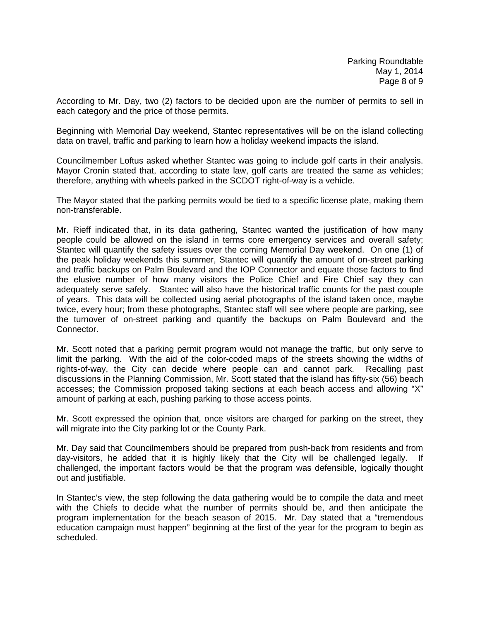According to Mr. Day, two (2) factors to be decided upon are the number of permits to sell in each category and the price of those permits.

Beginning with Memorial Day weekend, Stantec representatives will be on the island collecting data on travel, traffic and parking to learn how a holiday weekend impacts the island.

Councilmember Loftus asked whether Stantec was going to include golf carts in their analysis. Mayor Cronin stated that, according to state law, golf carts are treated the same as vehicles; therefore, anything with wheels parked in the SCDOT right-of-way is a vehicle.

The Mayor stated that the parking permits would be tied to a specific license plate, making them non-transferable.

Mr. Rieff indicated that, in its data gathering, Stantec wanted the justification of how many people could be allowed on the island in terms core emergency services and overall safety; Stantec will quantify the safety issues over the coming Memorial Day weekend. On one (1) of the peak holiday weekends this summer, Stantec will quantify the amount of on-street parking and traffic backups on Palm Boulevard and the IOP Connector and equate those factors to find the elusive number of how many visitors the Police Chief and Fire Chief say they can adequately serve safely. Stantec will also have the historical traffic counts for the past couple of years. This data will be collected using aerial photographs of the island taken once, maybe twice, every hour; from these photographs, Stantec staff will see where people are parking, see the turnover of on-street parking and quantify the backups on Palm Boulevard and the Connector.

Mr. Scott noted that a parking permit program would not manage the traffic, but only serve to limit the parking. With the aid of the color-coded maps of the streets showing the widths of rights-of-way, the City can decide where people can and cannot park. Recalling past discussions in the Planning Commission, Mr. Scott stated that the island has fifty-six (56) beach accesses; the Commission proposed taking sections at each beach access and allowing "X" amount of parking at each, pushing parking to those access points.

Mr. Scott expressed the opinion that, once visitors are charged for parking on the street, they will migrate into the City parking lot or the County Park.

Mr. Day said that Councilmembers should be prepared from push-back from residents and from day-visitors, he added that it is highly likely that the City will be challenged legally. challenged, the important factors would be that the program was defensible, logically thought out and justifiable.

In Stantec's view, the step following the data gathering would be to compile the data and meet with the Chiefs to decide what the number of permits should be, and then anticipate the program implementation for the beach season of 2015. Mr. Day stated that a "tremendous education campaign must happen" beginning at the first of the year for the program to begin as scheduled.